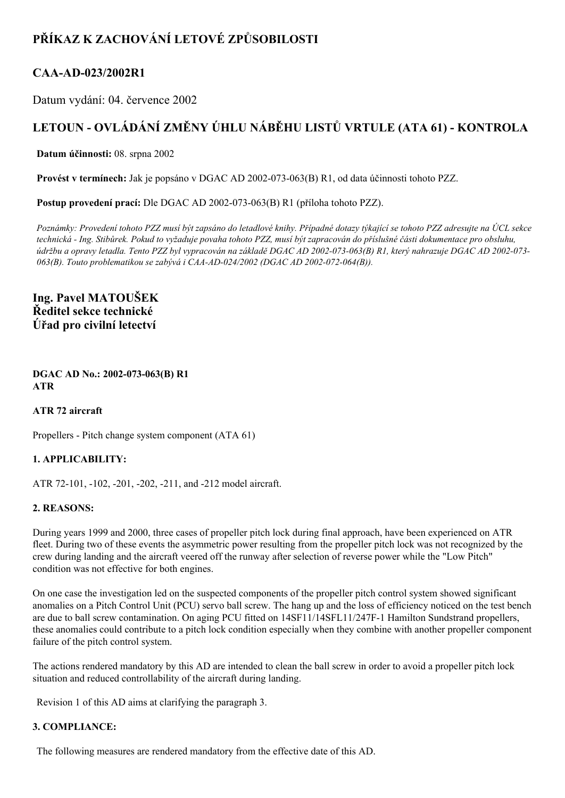# **PŘÍKAZ K ZACHOVÁNÍ LETOVÉ ZPŮSOBILOSTI**

# **CAAAD023/2002R1**

Datum vydání: 04. července 2002

# **LETOUN OVLÁDÁNÍ ZMĚNY ÚHLU NÁBĚHU LISTŮ VRTULE (ATA 61) KONTROLA**

**Datum účinnosti:** 08. srpna 2002

**Provést v termínech:** Jak je popsáno v DGAC AD 2002-073-063(B) R1, od data účinnosti tohoto PZZ.

Postup provedení prací: Dle DGAC AD 2002-073-063(B) R1 (příloha tohoto PZZ).

Poznámky: Provedení tohoto PZZ musí být zapsáno do letadlové knihy. Případné dotazy týkající se tohoto PZZ adresujte na ÚCL sekce technická - Ing. Stibůrek. Pokud to vyžaduje povaha tohoto PZZ, musí být zapracován do příslušné části dokumentace pro obsluhu, údržbu a opravy letadla. Tento PZZ byl vypracován na základě DGAC AD 2002-073-063(B) R1, který nahrazuje DGAC AD 2002-073-*063(B). Touto problematikou se zabývá i CAAAD024/2002 (DGAC AD 2002072064(B)).*

**Ing. Pavel MATOUŠEK Ředitel sekce technické Úřad pro civilní letectví**

**DGAC AD No.: 2002-073-063(B) R1 ATR**

**ATR 72 aircraft**

Propellers - Pitch change system component (ATA 61)

## **1. APPLICABILITY:**

ATR 72-101, -102, -201, -202, -211, and -212 model aircraft.

### **2. REASONS:**

During years 1999 and 2000, three cases of propeller pitch lock during final approach, have been experienced on ATR fleet. During two of these events the asymmetric power resulting from the propeller pitch lock was not recognized by the crew during landing and the aircraft veered off the runway after selection of reverse power while the "Low Pitch" condition was not effective for both engines.

On one case the investigation led on the suspected components of the propeller pitch control system showed significant anomalies on a Pitch Control Unit (PCU) servo ball screw. The hang up and the loss of efficiency noticed on the test bench are due to ball screw contamination. On aging PCU fitted on 14SF11/14SFL11/247F1 Hamilton Sundstrand propellers, these anomalies could contribute to a pitch lock condition especially when they combine with another propeller component failure of the pitch control system.

The actions rendered mandatory by this AD are intended to clean the ball screw in order to avoid a propeller pitch lock situation and reduced controllability of the aircraft during landing.

Revision 1 of this AD aims at clarifying the paragraph 3.

### **3. COMPLIANCE:**

The following measures are rendered mandatory from the effective date of this AD.